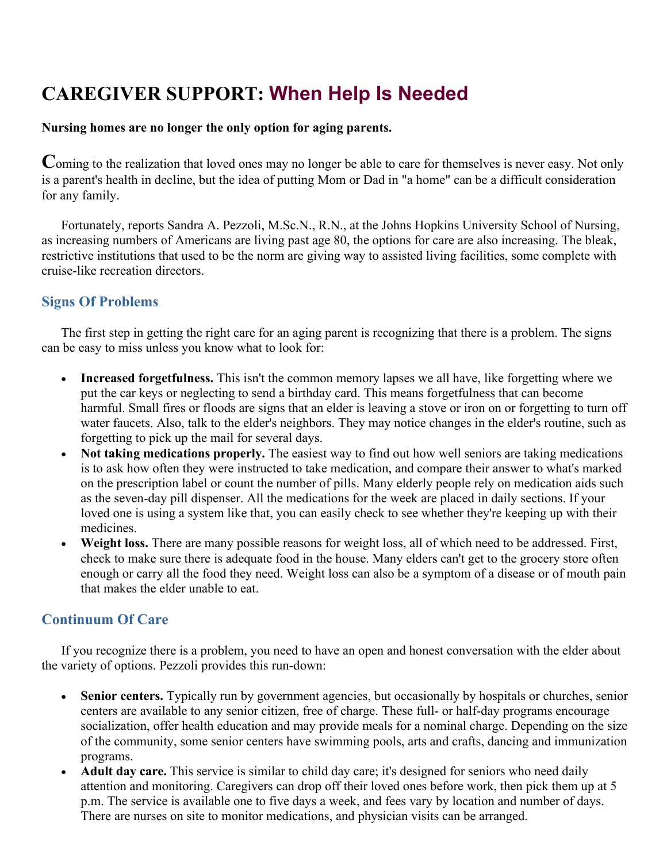## **CAREGIVER SUPPORT: When Help Is Needed**

## **Nursing homes are no longer the only option for aging parents.**

**C**oming to the realization that loved ones may no longer be able to care for themselves is never easy. Not only is a parent's health in decline, but the idea of putting Mom or Dad in "a home" can be a difficult consideration for any family.

 Fortunately, reports Sandra A. Pezzoli, M.Sc.N., R.N., at the Johns Hopkins University School of Nursing, as increasing numbers of Americans are living past age 80, the options for care are also increasing. The bleak, restrictive institutions that used to be the norm are giving way to assisted living facilities, some complete with cruise-like recreation directors.

## **Signs Of Problems**

 The first step in getting the right care for an aging parent is recognizing that there is a problem. The signs can be easy to miss unless you know what to look for:

- **Increased forgetfulness.** This isn't the common memory lapses we all have, like forgetting where we put the car keys or neglecting to send a birthday card. This means forgetfulness that can become harmful. Small fires or floods are signs that an elder is leaving a stove or iron on or forgetting to turn off water faucets. Also, talk to the elder's neighbors. They may notice changes in the elder's routine, such as forgetting to pick up the mail for several days.
- **Not taking medications properly.** The easiest way to find out how well seniors are taking medications is to ask how often they were instructed to take medication, and compare their answer to what's marked on the prescription label or count the number of pills. Many elderly people rely on medication aids such as the seven-day pill dispenser. All the medications for the week are placed in daily sections. If your loved one is using a system like that, you can easily check to see whether they're keeping up with their medicines.
- **Weight loss.** There are many possible reasons for weight loss, all of which need to be addressed. First, check to make sure there is adequate food in the house. Many elders can't get to the grocery store often enough or carry all the food they need. Weight loss can also be a symptom of a disease or of mouth pain that makes the elder unable to eat.

## **Continuum Of Care**

 If you recognize there is a problem, you need to have an open and honest conversation with the elder about the variety of options. Pezzoli provides this run-down:

- **Senior centers.** Typically run by government agencies, but occasionally by hospitals or churches, senior centers are available to any senior citizen, free of charge. These full- or half-day programs encourage socialization, offer health education and may provide meals for a nominal charge. Depending on the size of the community, some senior centers have swimming pools, arts and crafts, dancing and immunization programs.
- **Adult day care.** This service is similar to child day care; it's designed for seniors who need daily attention and monitoring. Caregivers can drop off their loved ones before work, then pick them up at 5 p.m. The service is available one to five days a week, and fees vary by location and number of days. There are nurses on site to monitor medications, and physician visits can be arranged.